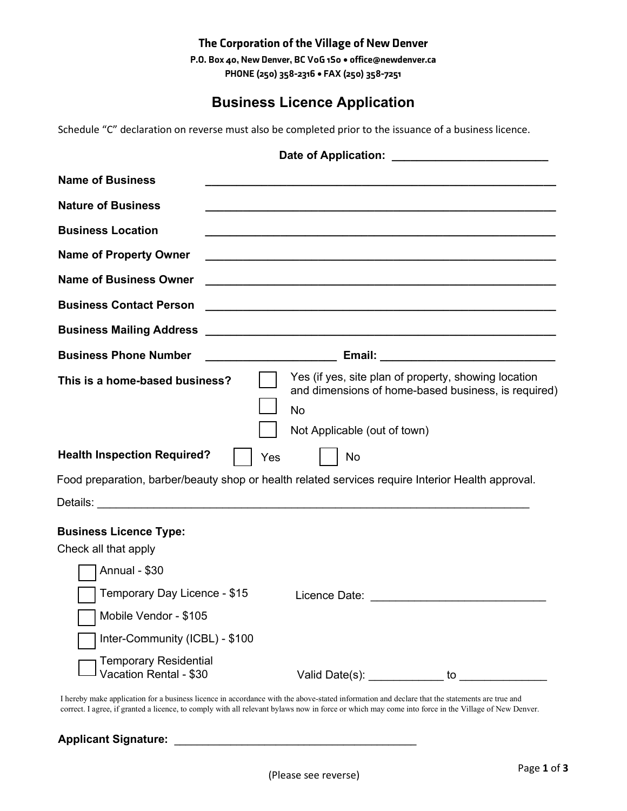### The Corporation of the Village of New Denver

P.O. Box 40, New Denver, BC V0G 1S0 • office@newdenver.ca PHONE (250) 358-2316 • FAX (250) 358-7251

# **Business Licence Application**

Schedule "C" declaration on reverse must also be completed prior to the issuance of a business licence.

|                                                        | Date of Application:                                                                                                                                     |
|--------------------------------------------------------|----------------------------------------------------------------------------------------------------------------------------------------------------------|
| <b>Name of Business</b>                                |                                                                                                                                                          |
| <b>Nature of Business</b>                              |                                                                                                                                                          |
| <b>Business Location</b>                               |                                                                                                                                                          |
| <b>Name of Property Owner</b>                          |                                                                                                                                                          |
| <b>Name of Business Owner</b>                          |                                                                                                                                                          |
| <b>Business Contact Person</b>                         |                                                                                                                                                          |
| <b>Business Mailing Address</b>                        | <u> 2000 - Jan James James James James James James James James James James James James James James James James Ja</u>                                    |
| <b>Business Phone Number</b>                           | <u> 1980 - Johann Barbara, martxa a</u>                                                                                                                  |
| This is a home-based business?                         | Yes (if yes, site plan of property, showing location<br>and dimensions of home-based business, is required)<br><b>No</b><br>Not Applicable (out of town) |
| <b>Health Inspection Required?</b>                     | Yes<br>No                                                                                                                                                |
|                                                        | Food preparation, barber/beauty shop or health related services require Interior Health approval.                                                        |
| <b>Business Licence Type:</b><br>Check all that apply  |                                                                                                                                                          |
| Annual - \$30                                          |                                                                                                                                                          |
| Temporary Day Licence - \$15                           |                                                                                                                                                          |
| Mobile Vendor - \$105                                  |                                                                                                                                                          |
| Inter-Community (ICBL) - \$100                         |                                                                                                                                                          |
| <b>Temporary Residential</b><br>Vacation Rental - \$30 |                                                                                                                                                          |

I hereby make application for a business licence in accordance with the above-stated information and declare that the statements are true and correct. I agree, if granted a licence, to comply with all relevant bylaws now in force or which may come into force in the Village of New Denver.

#### **Applicant Signature: \_\_\_\_\_\_\_\_\_\_\_\_\_\_\_\_\_\_\_\_\_\_\_\_\_\_\_\_\_\_\_\_\_\_\_\_\_\_\_\_\_\_\_**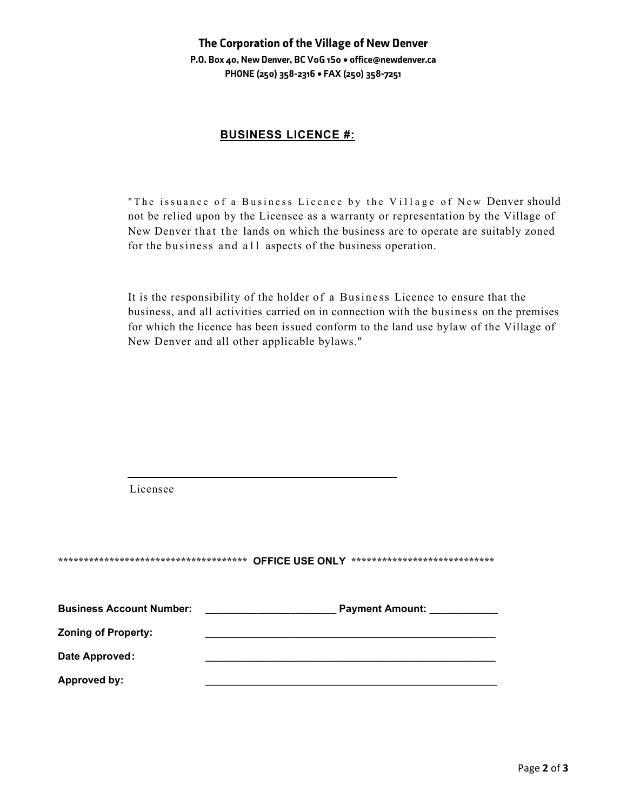### The Corporation of the Village of New Denver P.O. Box 40, New Denver, BC V0G 1S0 • office@newdenver.ca PHONE (250) 358-2316 • FAX (250) 358-7251

#### **BUSINESS LICENCE #:**

"The issuance of a Business Licence by the Village of New Denver should not be relied upon by the Licensee as a warranty or representation by the Village of New Denver that the lands on which the business are to operate are suitably zoned for the business and all aspects of the business operation.

It is the responsibility of the holder of a Business Licence to ensure that the business, and all activities carried on in connection with the business on the premises for which the licence has been issued conform to the land use bylaw of the Village of New Denver and all other applicable bylaws."

| Licensee                        |                                                                                   |
|---------------------------------|-----------------------------------------------------------------------------------|
|                                 | ************************************* OFFICE USE ONLY *************************** |
| <b>Business Account Number:</b> | <b>Payment Amount:</b>                                                            |
| <b>Zoning of Property:</b>      |                                                                                   |
| Date Approved:                  |                                                                                   |
| <b>Approved by:</b>             |                                                                                   |